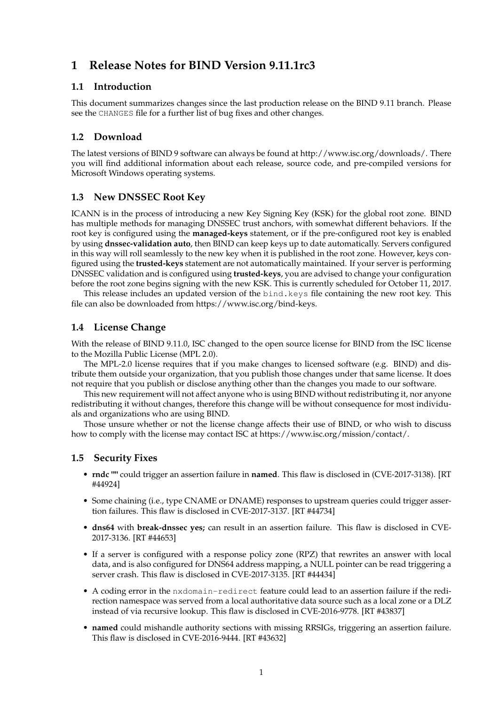# **1 Release Notes for BIND Version 9.11.1rc3**

#### **1.1 Introduction**

This document summarizes changes since the last production release on the BIND 9.11 branch. Please see the CHANGES file for a further list of bug fixes and other changes.

# **1.2 Download**

The latest versions of BIND 9 software can always be found at http://www.isc.org/downloads/. There you will find additional information about each release, source code, and pre-compiled versions for Microsoft Windows operating systems.

## **1.3 New DNSSEC Root Key**

ICANN is in the process of introducing a new Key Signing Key (KSK) for the global root zone. BIND has multiple methods for managing DNSSEC trust anchors, with somewhat different behaviors. If the root key is configured using the **managed-keys** statement, or if the pre-configured root key is enabled by using **dnssec-validation auto**, then BIND can keep keys up to date automatically. Servers configured in this way will roll seamlessly to the new key when it is published in the root zone. However, keys configured using the **trusted-keys** statement are not automatically maintained. If your server is performing DNSSEC validation and is configured using **trusted-keys**, you are advised to change your configuration before the root zone begins signing with the new KSK. This is currently scheduled for October 11, 2017.

This release includes an updated version of the bind.keys file containing the new root key. This file can also be downloaded from https://www.isc.org/bind-keys.

## **1.4 License Change**

With the release of BIND 9.11.0, ISC changed to the open source license for BIND from the ISC license to the Mozilla Public License (MPL 2.0).

The MPL-2.0 license requires that if you make changes to licensed software (e.g. BIND) and distribute them outside your organization, that you publish those changes under that same license. It does not require that you publish or disclose anything other than the changes you made to our software.

This new requirement will not affect anyone who is using BIND without redistributing it, nor anyone redistributing it without changes, therefore this change will be without consequence for most individuals and organizations who are using BIND.

Those unsure whether or not the license change affects their use of BIND, or who wish to discuss how to comply with the license may contact ISC at https://www.isc.org/mission/contact/.

#### **1.5 Security Fixes**

- **rndc ""** could trigger an assertion failure in **named**. This flaw is disclosed in (CVE-2017-3138). [RT #44924]
- Some chaining (i.e., type CNAME or DNAME) responses to upstream queries could trigger assertion failures. This flaw is disclosed in CVE-2017-3137. [RT #44734]
- **dns64** with **break-dnssec yes;** can result in an assertion failure. This flaw is disclosed in CVE-2017-3136. [RT #44653]
- If a server is configured with a response policy zone (RPZ) that rewrites an answer with local data, and is also configured for DNS64 address mapping, a NULL pointer can be read triggering a server crash. This flaw is disclosed in CVE-2017-3135. [RT #44434]
- A coding error in the nxdomain-redirect feature could lead to an assertion failure if the redirection namespace was served from a local authoritative data source such as a local zone or a DLZ instead of via recursive lookup. This flaw is disclosed in CVE-2016-9778. [RT #43837]
- **named** could mishandle authority sections with missing RRSIGs, triggering an assertion failure. This flaw is disclosed in CVE-2016-9444. [RT #43632]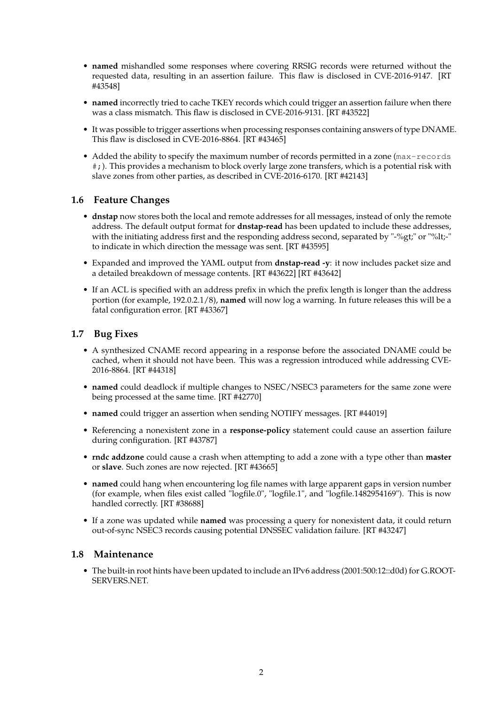- **named** mishandled some responses where covering RRSIG records were returned without the requested data, resulting in an assertion failure. This flaw is disclosed in CVE-2016-9147. [RT #43548]
- **named** incorrectly tried to cache TKEY records which could trigger an assertion failure when there was a class mismatch. This flaw is disclosed in CVE-2016-9131. [RT #43522]
- It was possible to trigger assertions when processing responses containing answers of type DNAME. This flaw is disclosed in CVE-2016-8864. [RT #43465]
- Added the ability to specify the maximum number of records permitted in a zone (max-records #;). This provides a mechanism to block overly large zone transfers, which is a potential risk with slave zones from other parties, as described in CVE-2016-6170. [RT #42143]

## **1.6 Feature Changes**

- **dnstap** now stores both the local and remote addresses for all messages, instead of only the remote address. The default output format for **dnstap-read** has been updated to include these addresses, with the initiating address first and the responding address second, separated by "-%gt;" or "%lt;-" to indicate in which direction the message was sent. [RT #43595]
- Expanded and improved the YAML output from **dnstap-read -y**: it now includes packet size and a detailed breakdown of message contents. [RT #43622] [RT #43642]
- If an ACL is specified with an address prefix in which the prefix length is longer than the address portion (for example, 192.0.2.1/8), **named** will now log a warning. In future releases this will be a fatal configuration error. [RT #43367]

## **1.7 Bug Fixes**

- A synthesized CNAME record appearing in a response before the associated DNAME could be cached, when it should not have been. This was a regression introduced while addressing CVE-2016-8864. [RT #44318]
- **named** could deadlock if multiple changes to NSEC/NSEC3 parameters for the same zone were being processed at the same time. [RT #42770]
- **named** could trigger an assertion when sending NOTIFY messages. [RT #44019]
- Referencing a nonexistent zone in a **response-policy** statement could cause an assertion failure during configuration. [RT #43787]
- **rndc addzone** could cause a crash when attempting to add a zone with a type other than **master** or **slave**. Such zones are now rejected. [RT #43665]
- **named** could hang when encountering log file names with large apparent gaps in version number (for example, when files exist called "logfile.0", "logfile.1", and "logfile.1482954169"). This is now handled correctly. [RT #38688]
- If a zone was updated while **named** was processing a query for nonexistent data, it could return out-of-sync NSEC3 records causing potential DNSSEC validation failure. [RT #43247]

#### **1.8 Maintenance**

• The built-in root hints have been updated to include an IPv6 address (2001:500:12::d0d) for G.ROOT-SERVERS.NET.